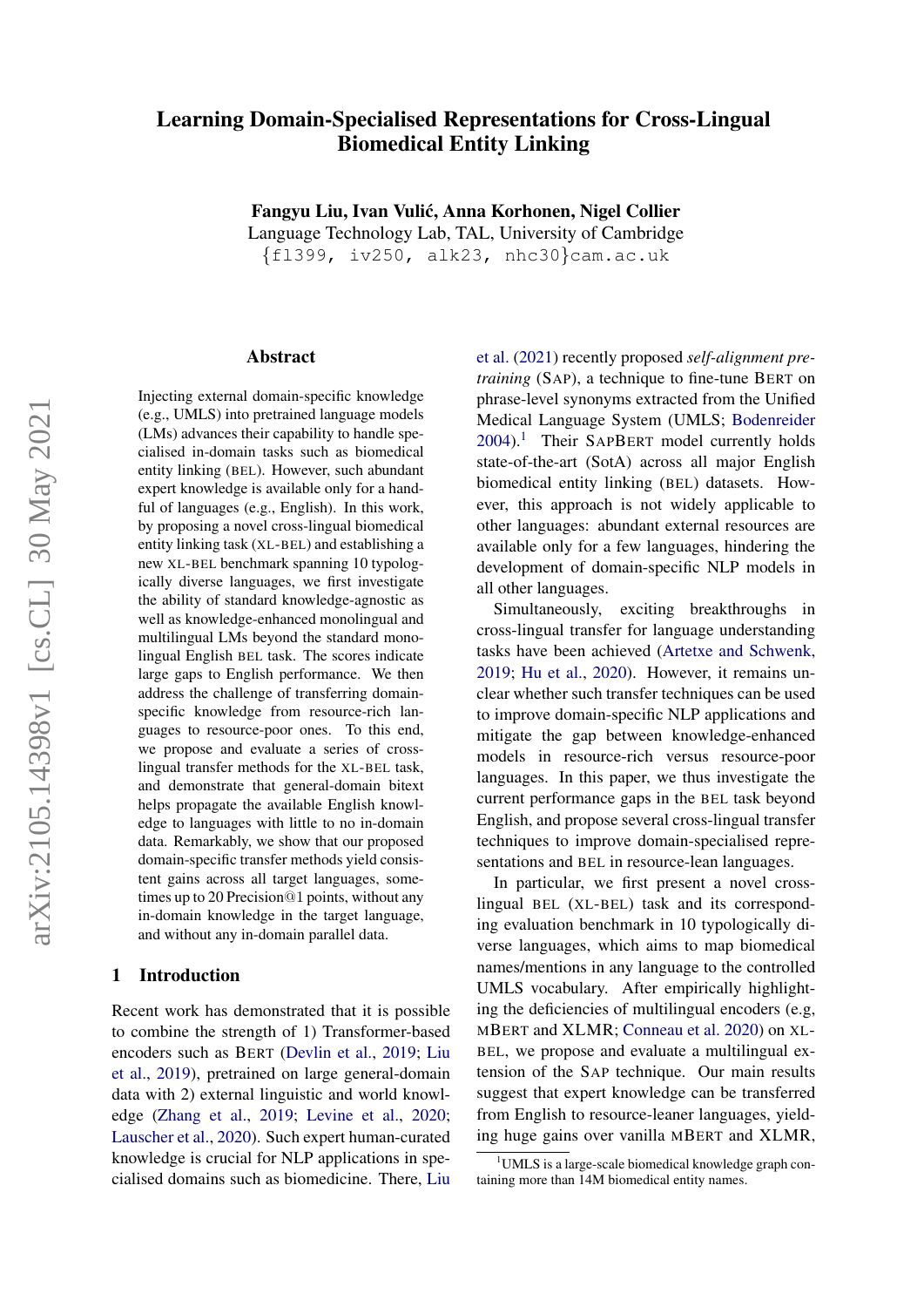# Learning Domain-Specialised Representations for Cross-Lingual Biomedical Entity Linking

Fangyu Liu, Ivan Vulic, Anna Korhonen, Nigel Collier ´

Language Technology Lab, TAL, University of Cambridge

{fl399, iv250, alk23, nhc30}cam.ac.uk

#### Abstract

Injecting external domain-specific knowledge (e.g., UMLS) into pretrained language models (LMs) advances their capability to handle specialised in-domain tasks such as biomedical entity linking (BEL). However, such abundant expert knowledge is available only for a handful of languages (e.g., English). In this work, by proposing a novel cross-lingual biomedical entity linking task (XL-BEL) and establishing a new XL-BEL benchmark spanning 10 typologically diverse languages, we first investigate the ability of standard knowledge-agnostic as well as knowledge-enhanced monolingual and multilingual LMs beyond the standard monolingual English BEL task. The scores indicate large gaps to English performance. We then address the challenge of transferring domainspecific knowledge from resource-rich languages to resource-poor ones. To this end, we propose and evaluate a series of crosslingual transfer methods for the XL-BEL task, and demonstrate that general-domain bitext helps propagate the available English knowledge to languages with little to no in-domain data. Remarkably, we show that our proposed domain-specific transfer methods yield consistent gains across all target languages, sometimes up to 20 Precision@1 points, without any in-domain knowledge in the target language, and without any in-domain parallel data.

# 1 Introduction

Recent work has demonstrated that it is possible to combine the strength of 1) Transformer-based encoders such as BERT [\(Devlin et al.,](#page-5-0) [2019;](#page-5-0) [Liu](#page-6-0) [et al.,](#page-6-0) [2019\)](#page-6-0), pretrained on large general-domain data with 2) external linguistic and world knowledge [\(Zhang et al.,](#page-6-1) [2019;](#page-6-1) [Levine et al.,](#page-6-2) [2020;](#page-6-2) [Lauscher et al.,](#page-5-1) [2020\)](#page-5-1). Such expert human-curated knowledge is crucial for NLP applications in specialised domains such as biomedicine. There, [Liu](#page-6-3) [et al.](#page-6-3) [\(2021\)](#page-6-3) recently proposed *self-alignment pretraining* (SAP), a technique to fine-tune BERT on phrase-level synonyms extracted from the Unified Medical Language System (UMLS; [Bodenreider](#page-5-2) [2004\)](#page-5-2).<sup>[1](#page-0-0)</sup> Their SAPBERT model currently holds state-of-the-art (SotA) across all major English biomedical entity linking (BEL) datasets. However, this approach is not widely applicable to other languages: abundant external resources are available only for a few languages, hindering the development of domain-specific NLP models in all other languages.

Simultaneously, exciting breakthroughs in cross-lingual transfer for language understanding tasks have been achieved [\(Artetxe and Schwenk,](#page-5-3) [2019;](#page-5-3) [Hu et al.,](#page-5-4) [2020\)](#page-5-4). However, it remains unclear whether such transfer techniques can be used to improve domain-specific NLP applications and mitigate the gap between knowledge-enhanced models in resource-rich versus resource-poor languages. In this paper, we thus investigate the current performance gaps in the BEL task beyond English, and propose several cross-lingual transfer techniques to improve domain-specialised representations and BEL in resource-lean languages.

In particular, we first present a novel crosslingual BEL (XL-BEL) task and its corresponding evaluation benchmark in 10 typologically diverse languages, which aims to map biomedical names/mentions in any language to the controlled UMLS vocabulary. After empirically highlighting the deficiencies of multilingual encoders (e.g, MBERT and XLMR; [Conneau et al.](#page-5-5) [2020\)](#page-5-5) on XL-BEL, we propose and evaluate a multilingual extension of the SAP technique. Our main results suggest that expert knowledge can be transferred from English to resource-leaner languages, yielding huge gains over vanilla MBERT and XLMR,

<span id="page-0-0"></span> $1$ UMLS is a large-scale biomedical knowledge graph containing more than 14M biomedical entity names.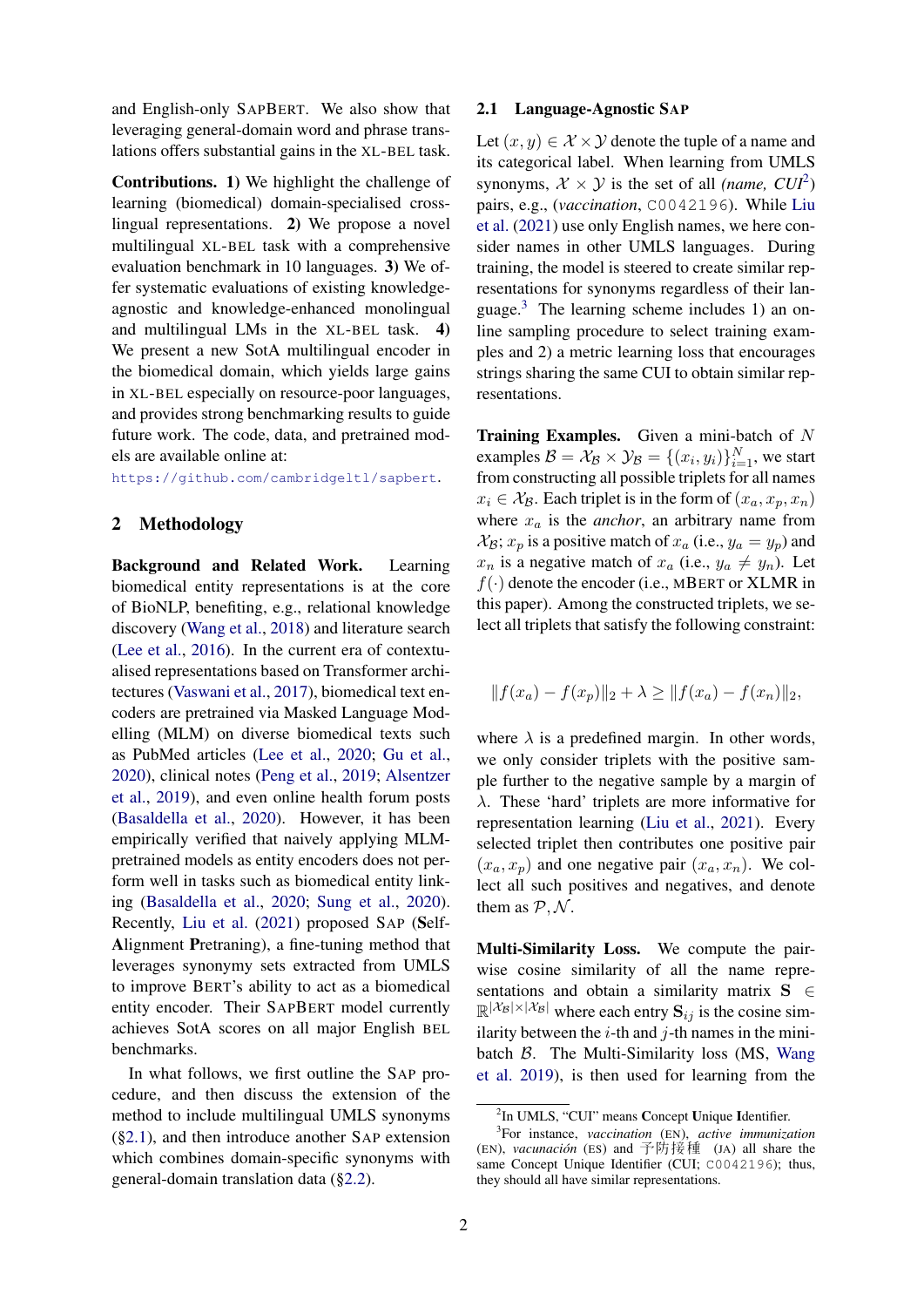and English-only SAPBERT. We also show that leveraging general-domain word and phrase translations offers substantial gains in the XL-BEL task.

Contributions. 1) We highlight the challenge of learning (biomedical) domain-specialised crosslingual representations. 2) We propose a novel multilingual XL-BEL task with a comprehensive evaluation benchmark in 10 languages. 3) We offer systematic evaluations of existing knowledgeagnostic and knowledge-enhanced monolingual and multilingual LMs in the XL-BEL task. 4) We present a new SotA multilingual encoder in the biomedical domain, which yields large gains in XL-BEL especially on resource-poor languages, and provides strong benchmarking results to guide future work. The code, data, and pretrained models are available online at:

<https://github.com/cambridgeltl/sapbert>.

## 2 Methodology

Background and Related Work. Learning biomedical entity representations is at the core of BioNLP, benefiting, e.g., relational knowledge discovery [\(Wang et al.,](#page-6-4) [2018\)](#page-6-4) and literature search [\(Lee et al.,](#page-5-6) [2016\)](#page-5-6). In the current era of contextualised representations based on Transformer architectures [\(Vaswani et al.,](#page-6-5) [2017\)](#page-6-5), biomedical text encoders are pretrained via Masked Language Modelling (MLM) on diverse biomedical texts such as PubMed articles [\(Lee et al.,](#page-5-7) [2020;](#page-5-7) [Gu et al.,](#page-5-8) [2020\)](#page-5-8), clinical notes [\(Peng et al.,](#page-6-6) [2019;](#page-6-6) [Alsentzer](#page-5-9) [et al.,](#page-5-9) [2019\)](#page-5-9), and even online health forum posts [\(Basaldella et al.,](#page-5-10) [2020\)](#page-5-10). However, it has been empirically verified that naively applying MLMpretrained models as entity encoders does not perform well in tasks such as biomedical entity linking [\(Basaldella et al.,](#page-5-10) [2020;](#page-5-10) [Sung et al.,](#page-6-7) [2020\)](#page-6-7). Recently, [Liu et al.](#page-6-3) [\(2021\)](#page-6-3) proposed SAP (Self-Alignment Pretraning), a fine-tuning method that leverages synonymy sets extracted from UMLS to improve BERT's ability to act as a biomedical entity encoder. Their SAPBERT model currently achieves SotA scores on all major English BEL benchmarks.

In what follows, we first outline the SAP procedure, and then discuss the extension of the method to include multilingual UMLS synonyms ([§2.1\)](#page-1-0), and then introduce another SAP extension which combines domain-specific synonyms with general-domain translation data ([§2.2\)](#page-2-0).

#### <span id="page-1-0"></span>2.1 Language-Agnostic SAP

Let  $(x, y) \in \mathcal{X} \times \mathcal{Y}$  denote the tuple of a name and its categorical label. When learning from UMLS synonyms,  $\mathcal{X} \times \mathcal{Y}$  is the set of all *(name, CUI*<sup>[2](#page-1-1)</sup>) pairs, e.g., (*vaccination*, C0042196). While [Liu](#page-6-3) [et al.](#page-6-3) [\(2021\)](#page-6-3) use only English names, we here consider names in other UMLS languages. During training, the model is steered to create similar representations for synonyms regardless of their lan-guage.<sup>[3](#page-1-2)</sup> The learning scheme includes 1) an online sampling procedure to select training examples and 2) a metric learning loss that encourages strings sharing the same CUI to obtain similar representations.

**Training Examples.** Given a mini-batch of  $N$ examples  $\mathcal{B} = \mathcal{X}_{\mathcal{B}} \times \mathcal{Y}_{\mathcal{B}} = \{(x_i, y_i)\}_{i=1}^N$ , we start from constructing all possible triplets for all names  $x_i \in \mathcal{X}_{\mathcal{B}}$ . Each triplet is in the form of  $(x_a, x_p, x_n)$ where  $x_a$  is the *anchor*, an arbitrary name from  $\mathcal{X}_{\mathcal{B}}$ ;  $x_p$  is a positive match of  $x_a$  (i.e.,  $y_a = y_p$ ) and  $x_n$  is a negative match of  $x_a$  (i.e.,  $y_a \neq y_n$ ). Let  $f(\cdot)$  denote the encoder (i.e., MBERT or XLMR in this paper). Among the constructed triplets, we select all triplets that satisfy the following constraint:

<span id="page-1-3"></span>
$$
||f(x_a) - f(x_p)||_2 + \lambda \ge ||f(x_a) - f(x_n)||_2,
$$

where  $\lambda$  is a predefined margin. In other words, we only consider triplets with the positive sample further to the negative sample by a margin of λ. These 'hard' triplets are more informative for representation learning [\(Liu et al.,](#page-6-3) [2021\)](#page-6-3). Every selected triplet then contributes one positive pair  $(x_a, x_p)$  and one negative pair  $(x_a, x_n)$ . We collect all such positives and negatives, and denote them as  $P, N$ .

Multi-Similarity Loss. We compute the pairwise cosine similarity of all the name representations and obtain a similarity matrix  $S \in$  $\mathbb{R}^{|\mathcal{X}_{\mathcal{B}}| \times |\mathcal{X}_{\mathcal{B}}|}$  where each entry  $S_{ij}$  is the cosine similarity between the  $i$ -th and  $j$ -th names in the minibatch B. The Multi-Similarity loss (MS, [Wang](#page-6-8) [et al.](#page-6-8) [2019\)](#page-6-8), is then used for learning from the

<span id="page-1-2"></span><span id="page-1-1"></span><sup>&</sup>lt;sup>2</sup>In UMLS, "CUI" means Concept Unique Identifier.

<sup>3</sup> For instance, *vaccination* (EN), *active immunization* (EN), *vacunacion´* (ES) and 予防接種 (JA) all share the same Concept Unique Identifier (CUI; C0042196); thus, they should all have similar representations.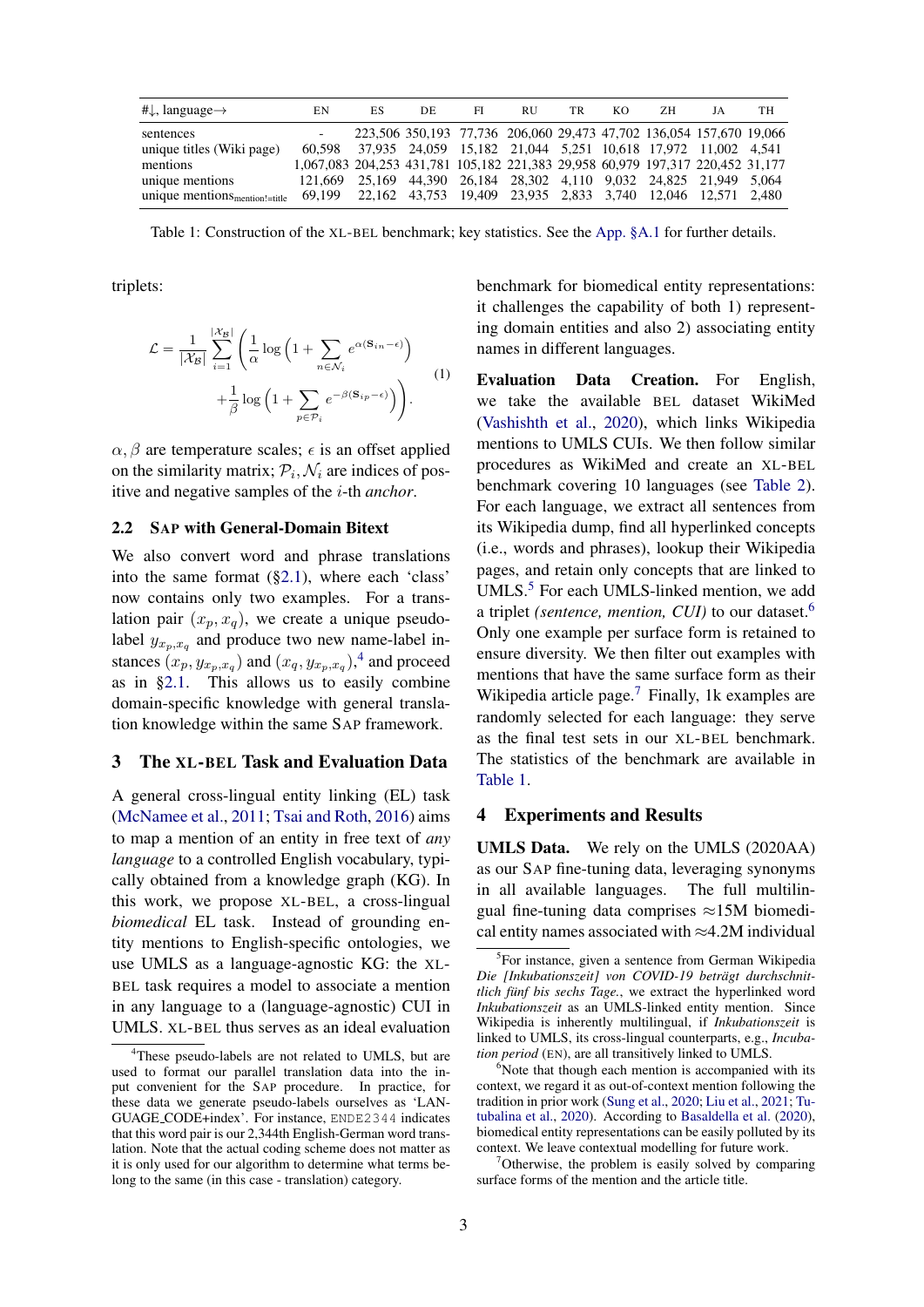<span id="page-2-5"></span>

| # $\downarrow$ , language $\rightarrow$             | EN                                                                             | ES                                                                  | DE | FI | <b>RU</b> | TR | KO. | ΖH | JA | TН |
|-----------------------------------------------------|--------------------------------------------------------------------------------|---------------------------------------------------------------------|----|----|-----------|----|-----|----|----|----|
| sentences                                           |                                                                                | 223,506 350,193 77,736 206,060 29,473 47,702 136,054 157,670 19,066 |    |    |           |    |     |    |    |    |
| unique titles (Wiki page)                           | 60.598                                                                         | 37,935 24,059 15,182 21,044 5,251 10,618 17,972 11,002 4,541        |    |    |           |    |     |    |    |    |
| mentions                                            | 1,067,083 204,253 431,781 105,182 221,383 29,958 60,979 197,317 220,452 31,177 |                                                                     |    |    |           |    |     |    |    |    |
| unique mentions                                     | 121.669                                                                        | 25,169 44,390 26,184 28,302 4,110 9,032 24,825 21,949 5,064         |    |    |           |    |     |    |    |    |
| unique mentions $_{\text{mentation!}=\text{title}}$ | 69,199 22,162 43,753 19,409 23,935 2,833 3,740 12,046 12,571 2,480             |                                                                     |    |    |           |    |     |    |    |    |

Table 1: Construction of the XL-BEL benchmark; key statistics. See the [App. §A.1](#page-7-0) for further details.

triplets:

$$
\mathcal{L} = \frac{1}{|\mathcal{X}_{\mathcal{B}}|} \sum_{i=1}^{|\mathcal{X}_{\mathcal{B}}|} \left( \frac{1}{\alpha} \log \left( 1 + \sum_{n \in \mathcal{N}_i} e^{\alpha (\mathbf{S}_{in} - \epsilon)} \right) + \frac{1}{\beta} \log \left( 1 + \sum_{p \in \mathcal{P}_i} e^{-\beta (\mathbf{S}_{ip} - \epsilon)} \right) \right).
$$
\n(1)

 $\alpha$ ,  $\beta$  are temperature scales;  $\epsilon$  is an offset applied on the similarity matrix;  $P_i$ ,  $\mathcal{N}_i$  are indices of positive and negative samples of the i-th *anchor*.

#### <span id="page-2-0"></span>2.2 SAP with General-Domain Bitext

We also convert word and phrase translations into the same format ([§2.1\)](#page-1-0), where each 'class' now contains only two examples. For a translation pair  $(x_p, x_q)$ , we create a unique pseudolabel  $y_{x_p, x_q}$  and produce two new name-label instances  $(x_p, y_{x_p, x_q})$  and  $(x_q, y_{x_p, x_q})$ ,<sup>[4](#page-2-1)</sup> and proceed as in [§2.1.](#page-1-0) This allows us to easily combine domain-specific knowledge with general translation knowledge within the same SAP framework.

#### 3 The XL-BEL Task and Evaluation Data

A general cross-lingual entity linking (EL) task [\(McNamee et al.,](#page-6-9) [2011;](#page-6-9) [Tsai and Roth,](#page-6-10) [2016\)](#page-6-10) aims to map a mention of an entity in free text of *any language* to a controlled English vocabulary, typically obtained from a knowledge graph (KG). In this work, we propose XL-BEL, a cross-lingual *biomedical* EL task. Instead of grounding entity mentions to English-specific ontologies, we use UMLS as a language-agnostic KG: the XL-BEL task requires a model to associate a mention in any language to a (language-agnostic) CUI in UMLS. XL-BEL thus serves as an ideal evaluation

benchmark for biomedical entity representations: it challenges the capability of both 1) representing domain entities and also 2) associating entity names in different languages.

Evaluation Data Creation. For English, we take the available BEL dataset WikiMed [\(Vashishth et al.,](#page-6-11) [2020\)](#page-6-11), which links Wikipedia mentions to UMLS CUIs. We then follow similar procedures as WikiMed and create an XL-BEL benchmark covering 10 languages (see [Table 2\)](#page-3-0). For each language, we extract all sentences from its Wikipedia dump, find all hyperlinked concepts (i.e., words and phrases), lookup their Wikipedia pages, and retain only concepts that are linked to UMLS.<sup>[5](#page-2-2)</sup> For each UMLS-linked mention, we add a triplet *(sentence, mention, CUI)* to our dataset.[6](#page-2-3) Only one example per surface form is retained to ensure diversity. We then filter out examples with mentions that have the same surface form as their Wikipedia article page.<sup>[7](#page-2-4)</sup> Finally, 1k examples are randomly selected for each language: they serve as the final test sets in our XL-BEL benchmark. The statistics of the benchmark are available in [Table 1.](#page-2-5)

#### 4 Experiments and Results

UMLS Data. We rely on the UMLS (2020AA) as our SAP fine-tuning data, leveraging synonyms in all available languages. The full multilingual fine-tuning data comprises  $\approx$ 15M biomedical entity names associated with  $\approx 4.2M$  individual

<span id="page-2-4"></span> $7$ Otherwise, the problem is easily solved by comparing surface forms of the mention and the article title.

<span id="page-2-1"></span><sup>&</sup>lt;sup>4</sup>These pseudo-labels are not related to UMLS, but are used to format our parallel translation data into the input convenient for the SAP procedure. In practice, for these data we generate pseudo-labels ourselves as 'LAN-GUAGE CODE+index'. For instance, ENDE2344 indicates that this word pair is our 2,344th English-German word translation. Note that the actual coding scheme does not matter as it is only used for our algorithm to determine what terms belong to the same (in this case - translation) category.

<span id="page-2-2"></span><sup>&</sup>lt;sup>5</sup>For instance, given a sentence from German Wikipedia *Die [Inkubationszeit] von COVID-19 betragt durchschnit- ¨ tlich fünf bis sechs Tage.*, we extract the hyperlinked word *Inkubationszeit* as an UMLS-linked entity mention. Since Wikipedia is inherently multilingual, if *Inkubationszeit* is linked to UMLS, its cross-lingual counterparts, e.g., *Incubation period* (EN), are all transitively linked to UMLS.

<span id="page-2-3"></span> $6$ Note that though each mention is accompanied with its context, we regard it as out-of-context mention following the tradition in prior work [\(Sung et al.,](#page-6-7) [2020;](#page-6-7) [Liu et al.,](#page-6-3) [2021;](#page-6-3) [Tu](#page-6-12)[tubalina et al.,](#page-6-12) [2020\)](#page-6-12). According to [Basaldella et al.](#page-5-10) [\(2020\)](#page-5-10), biomedical entity representations can be easily polluted by its context. We leave contextual modelling for future work.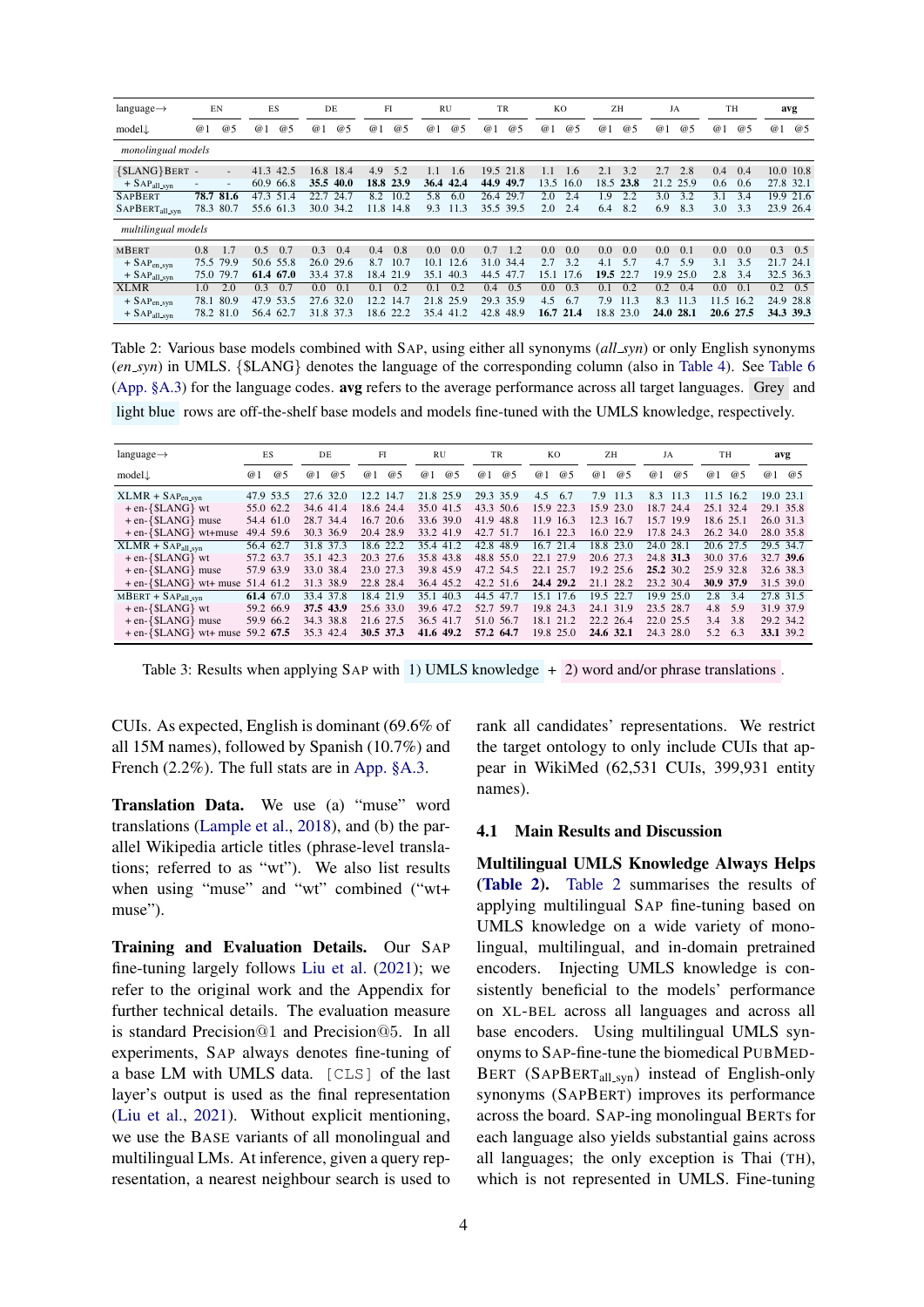<span id="page-3-0"></span>

| $language \rightarrow$                                                                            | EN                         |                            | ES                              |                    |            | DE                                   | FI                        |                            | <b>RU</b>                  |                            | TR                         |                            | KO                        |                           | ZH                             |                   | JA                        |                           | TН                       |                            |                         | avg                     |
|---------------------------------------------------------------------------------------------------|----------------------------|----------------------------|---------------------------------|--------------------|------------|--------------------------------------|---------------------------|----------------------------|----------------------------|----------------------------|----------------------------|----------------------------|---------------------------|---------------------------|--------------------------------|-------------------|---------------------------|---------------------------|--------------------------|----------------------------|-------------------------|-------------------------|
| $model\downarrow$                                                                                 | @1                         | @5                         | @1                              | @5                 | @1         | @5                                   | @1                        | @5                         | @1                         | @5                         | @1                         | @5                         | @1                        | @5                        | @1                             | @5                | @1                        | @5                        | @1                       | @5                         | @1                      | @5                      |
| monolingual models                                                                                |                            |                            |                                 |                    |            |                                      |                           |                            |                            |                            |                            |                            |                           |                           |                                |                   |                           |                           |                          |                            |                         |                         |
| {\$LANG}BERT -<br>$+$ SAP <sub>all_syn</sub>                                                      |                            | $\bar{a}$<br>$\sim$        | 41.3<br>60.9                    | 42.5<br>66.8       | 16.8       | 18.4<br>35.5 40.0                    | 4.9<br>18.8 23.9          | 5.2                        | 1.1<br>36.4                | 1.6<br>42.4                | 19.5<br>44.9               | 21.8<br>49.7               | 1.1<br>13.5               | 1.6<br>16.0               | 2.1                            | 3.2<br>18.5 23.8  | 2.7                       | 2.8<br>21.2 25.9          | 0.4<br>0.6               | 0.4<br>0.6                 | 27.8 32.1               | 10.0 10.8               |
| <b>SAPBERT</b><br>$SAPBERT_{all,syn}$                                                             | 78.7<br>78.3 80.7          | 81.6                       | 47.3                            | 51.4<br>55.6 61.3  | 22.7       | 24.7<br>30.0 34.2                    | 8.2<br>11.8               | 10.2<br>14.8               | 5.8<br>9.3                 | 6.0<br>11.3                | 26.4 29.7<br>35.5 39.5     |                            | 2.0<br>2.0                | 2.4<br>2.4                | 1.9<br>6.4                     | 2.2<br>8.2        | 3.0<br>6.9                | 3.2<br>8.3                | 3.1<br>3.0               | 3.4<br>3.3                 |                         | 19.9 21.6<br>23.9 26.4  |
| multilingual models                                                                               |                            |                            |                                 |                    |            |                                      |                           |                            |                            |                            |                            |                            |                           |                           |                                |                   |                           |                           |                          |                            |                         |                         |
| <b>MBERT</b><br>$+$ SAP <sub>en</sub> <sub>syn</sub><br>$+$ SAP <sub>all_syn</sub><br><b>XLMR</b> | 0.8<br>75.5<br>75.0<br>1.0 | 1.7<br>79.9<br>79.7<br>2.0 | 0.5<br>50.6 55.8<br>61.4<br>0.3 | 0.7<br>67.0<br>0.7 | 0.3<br>0.0 | 0.4<br>26.0 29.6<br>33.4 37.8<br>0.1 | 0.4<br>8.7<br>18.4<br>0.1 | 0.8<br>10.7<br>21.9<br>0.2 | 0.0<br>10.1<br>35.1<br>0.1 | 0.0<br>12.6<br>40.3<br>0.2 | 0.7<br>31.0<br>44.5<br>0.4 | 1.2<br>34.4<br>47.7<br>0.5 | 0.0<br>2.7<br>15.1<br>0.0 | 0.0<br>3.2<br>17.6<br>0.3 | 0.0<br>4.1<br>19.5 22.7<br>0.1 | 0.0<br>5.7<br>0.2 | 0.0<br>4.7<br>19.9<br>0.2 | 0.1<br>5.9<br>25.0<br>0.4 | 0.0<br>3.1<br>2.8<br>0.0 | 0.0<br>3.5<br>3.4<br>(0.1) | 0.3<br>21.7 24.1<br>0.2 | 0.5<br>32.5 36.3<br>0.5 |
| $+$ SAP <sub>en_syn</sub><br>$+$ SAPall_syn                                                       | 78.1<br>78.2 81.0          | 80.9                       | 47.9<br>56.4 62.7               | 53.5               |            | 27.6 32.0<br>31.8 37.3               | 12.2                      | 14.7<br>18.6 22.2          | 21.8<br>35.4 41.2          | 25.9                       | 29.3<br>42.8 48.9          | 35.9                       | 4.5<br>16.7               | 6.7<br>21.4               | 7.9                            | 11.3<br>18.8 23.0 | 8.3<br>24.0 28.1          | 11.3                      | 11.5<br>20.6 27.5        | 16.2                       |                         | 24.9 28.8<br>34.3 39.3  |

Table 2: Various base models combined with SAP, using either all synonyms (*all syn*) or only English synonyms (*en syn*) in UMLS. {\$LANG} denotes the language of the corresponding column (also in [Table 4\)](#page-4-0). See [Table 6](#page-7-1) [\(App. §A.3\)](#page-7-2) for the language codes. avg refers to the average performance across all target languages. Grey and light blue rows are off-the-shelf base models and models fine-tuned with the UMLS knowledge, respectively.

<span id="page-3-1"></span>

| $language \rightarrow$                                                     | ES                     | DE                        | FI                        | <b>RU</b>                 | TR                        | KO                        | ZH                     | JA                           | TH                     | avg                    |
|----------------------------------------------------------------------------|------------------------|---------------------------|---------------------------|---------------------------|---------------------------|---------------------------|------------------------|------------------------------|------------------------|------------------------|
| $model\downarrow$                                                          | @5<br>@                | @1<br>@5                  | @1<br>@5                  | @1<br>@5                  | @1<br>@5                  | @1<br>@5                  | @1<br>@5               | @5<br>@1                     | @1<br>@5               | @5<br>@1               |
| $XLMR + SAPen-syn$                                                         | 47.9 53.5              | 32.0<br>27.6              | 12.2<br>14.7              | 21.8<br>25.9              | 29.3 35.9                 | 4.5<br>6.7                | 7.9<br>11.3            | 8.3<br>11.3                  | 11.5<br>16.2           | 19.0 23.1              |
| $+ en - \{SLANG\}$ wt<br>$+ en - \{ $LANG\}$ muse                          | 55.0 62.2<br>54.4 61.0 | 34.6 41.4<br>28.7 34.4    | 18.6 24.4<br>16.7<br>20.6 | 35.0 41.5<br>33.6 39.0    | 43.3 50.6<br>48.8<br>41.9 | 15.9 22.3<br>11.9 16.3    | 15.9 23.0<br>12.3 16.7 | 24.4<br>18.7<br>19.9<br>15.7 | 25.1 32.4<br>18.6 25.1 | 29.1 35.8<br>26.0 31.3 |
| $+ en - \{SLANG\} wt + muse$                                               | 49.4 59.6              | 30.3<br>36.9              | 20.4 28.9                 | 33.2 41.9                 | 42.7 51.7                 | 16.1 22.3                 | 16.0 22.9              | 17.8 24.3                    | 26.2 34.0              | 28.0 35.8              |
| $\overline{\text{XLMR}}$ + $\text{SAP}_{all,syn}$<br>$+ en - \{SLANG\}$ wt | 56.4 62.7<br>57.2 63.7 | 37.3<br>31.8<br>35.1 42.3 | 22.2<br>18.6<br>20.3 27.6 | 35.4<br>41.2<br>35.8 43.8 | 48.9<br>42.8<br>48.8 55.0 | 21.4<br>16.7<br>22.1 27.9 | 18.8 23.0<br>20.6 27.3 | 28.1<br>24.0<br>24.8 31.3    | 20.6 27.5<br>30.0 37.6 | 29.5 34.7<br>32.7 39.6 |
| $+ en - \{ $LANG\}$ muse                                                   | 57.9 63.9              | 33.0 38.4                 | 23.0 27.3                 | 39.8 45.9                 | 47.2 54.5                 | 22.1 25.7                 | 19.2 25.6              | 25.2 30.2                    | 25.9 32.8              | 32.6 38.3              |
| + en-{ $SLANG$ } wt+ muse 51.4 61.2                                        |                        | 38.9<br>31.3              | 28.4<br>22.8              | 36.4 45.2                 | 42.2 51.6                 | 24.4 29.2                 | 28.2<br>21.1           | 23.2 30.4                    | 30.9 37.9              | 31.5 39.0              |
| $MBERT + SAPall,syn$                                                       | 61.4 67.0              | 33.4 37.8                 | 18.4 21.9                 | 40.3<br>35.1              | 44.5 47.7                 | 17.6<br>15.1              | 19.5 22.7              | 19.9 25.0                    | 2.8<br>3.4             | 27.8 31.5              |
| $+ en - \$ SLANG} wt                                                       | 59.2 66.9              | 37.5 43.9                 | 25.6 33.0                 | 39.6 47.2                 | 52.7 59.7                 | 19.8 24.3                 | 31.9<br>24.1           | 23.5 28.7                    | 4.8<br>5.9             | 31.9 37.9              |
| $+ en - \{SLANG\}$ muse                                                    | 59.9 66.2              | 34.3<br>38.8              | 21.6 27.5                 | 36.5 41.7                 | 51.0 56.7                 | 18.1<br>21.2              | 22.2<br>26.4           | 22.0 25.5                    | 3.4<br>3.8             | 29.2 34.2              |
| $+$ en-{\$LANG} wt+ muse 59.2 67.5                                         |                        | 35.3 42.4                 | 30.5 37.3                 | 41.6 49.2                 | 57.2 64.7                 | 19.8 25.0                 | 24.6 32.1              | 24.3 28.0                    | 5.2<br>6.3             | 33.1 39.2              |

Table 3: Results when applying SAP with 1) UMLS knowledge + 2) word and/or phrase translations .

CUIs. As expected, English is dominant (69.6% of all 15M names), followed by Spanish (10.7%) and French (2.2%). The full stats are in [App. §A.3.](#page-7-2)

Translation Data. We use (a) "muse" word translations [\(Lample et al.,](#page-5-11) [2018\)](#page-5-11), and (b) the parallel Wikipedia article titles (phrase-level translations; referred to as "wt"). We also list results when using "muse" and "wt" combined ("wt+ muse").

Training and Evaluation Details. Our SAP fine-tuning largely follows [Liu et al.](#page-6-3) [\(2021\)](#page-6-3); we refer to the original work and the Appendix for further technical details. The evaluation measure is standard Precision@1 and Precision@5. In all experiments, SAP always denotes fine-tuning of a base LM with UMLS data. [CLS] of the last layer's output is used as the final representation [\(Liu et al.,](#page-6-3) [2021\)](#page-6-3). Without explicit mentioning, we use the BASE variants of all monolingual and multilingual LMs. At inference, given a query representation, a nearest neighbour search is used to rank all candidates' representations. We restrict the target ontology to only include CUIs that appear in WikiMed (62,531 CUIs, 399,931 entity names).

#### 4.1 Main Results and Discussion

Multilingual UMLS Knowledge Always Helps [\(Table 2\)](#page-3-0). [Table 2](#page-3-0) summarises the results of applying multilingual SAP fine-tuning based on UMLS knowledge on a wide variety of monolingual, multilingual, and in-domain pretrained encoders. Injecting UMLS knowledge is consistently beneficial to the models' performance on XL-BEL across all languages and across all base encoders. Using multilingual UMLS synonyms to SAP-fine-tune the biomedical PUBMED-BERT (SAPBERT<sub>all\_syn</sub>) instead of English-only synonyms (SAPBERT) improves its performance across the board. SAP-ing monolingual BERTs for each language also yields substantial gains across all languages; the only exception is Thai (TH), which is not represented in UMLS. Fine-tuning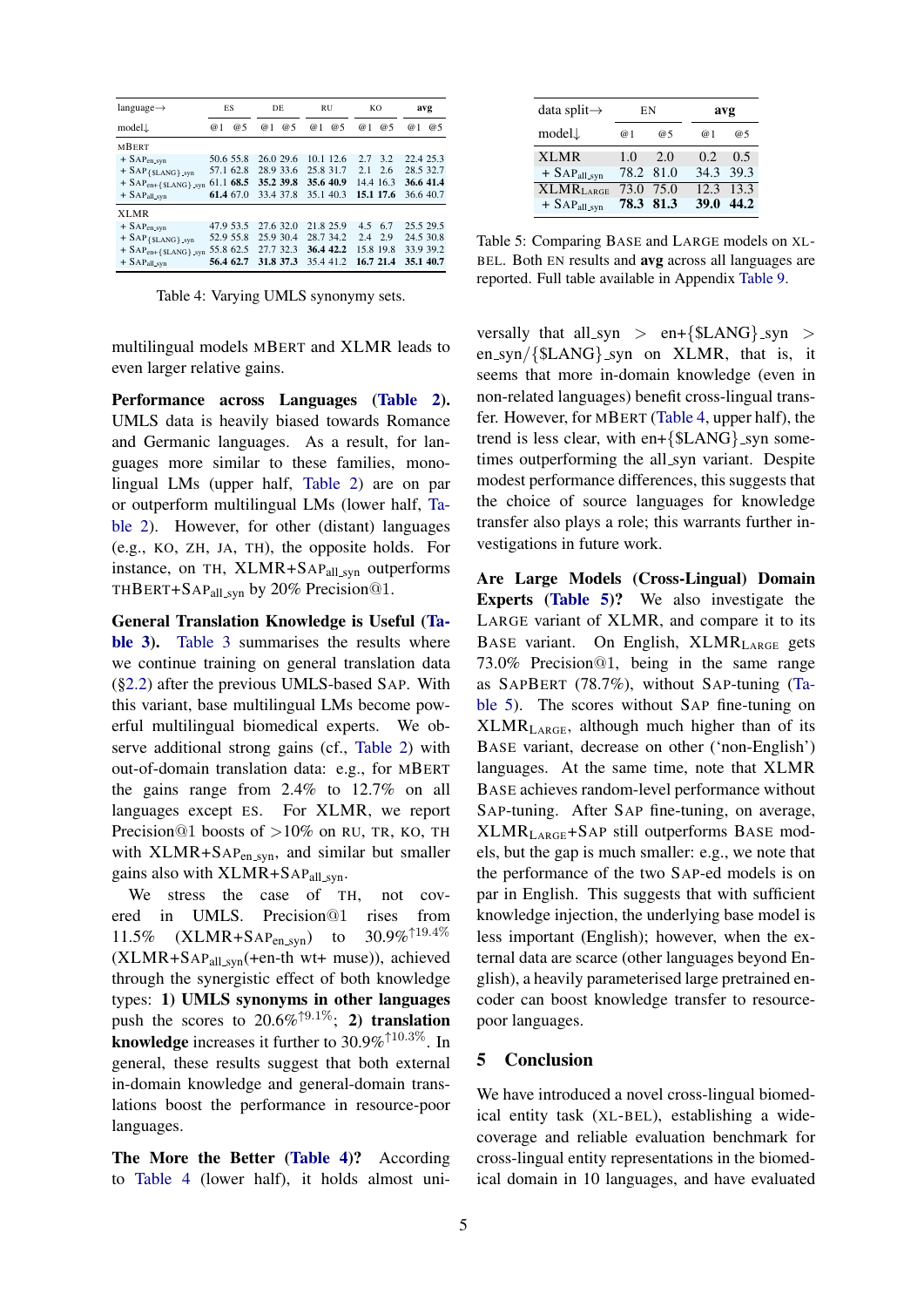<span id="page-4-0"></span>

| $language \rightarrow$              | ES        |    | DE        |    | <b>RU</b> |           |        | KO        |           | avg |
|-------------------------------------|-----------|----|-----------|----|-----------|-----------|--------|-----------|-----------|-----|
| $model\downarrow$                   | @ 1       | @5 | @1        | @5 | 1<br>@    | @5        | @<br>1 | @5        | @ 1       | @5  |
| <b>MBERT</b>                        |           |    |           |    |           |           |        |           |           |     |
| $+$ SAP <sub>en_syn</sub>           | 50.6 55.8 |    | 26.0 29.6 |    |           | 10.1 12.6 | 27     | 3.2       | 22.4 25.3 |     |
| $+$ SAP {\$LANG} $_{syn}$           | 57.1 62.8 |    | 28.9 33.6 |    | 25.8 31.7 |           | 2.1    | 2.6       | 28.5 32.7 |     |
| $+$ SAP <sub>en+{\$LANG}</sub> syn  | 61.1 68.5 |    | 35.2 39.8 |    | 35.6 40.9 |           |        | 14.4 16.3 | 36.6 41.4 |     |
| $+$ SAP <sub>all_syn</sub>          | 61.4 67.0 |    | 33.4 37.8 |    | 35.1 40.3 |           |        | 15.1 17.6 | 36.6 40.7 |     |
| <b>XLMR</b>                         |           |    |           |    |           |           |        |           |           |     |
| $+$ SAP <sub>en</sub> _syn          | 47.9 53.5 |    | 27.6 32.0 |    | 21.8 25.9 |           | 4.5    | 6.7       | 25.5 29.5 |     |
| $+$ SAP { $SLANG$ } syn             | 52.9 55.8 |    | 25.9 30.4 |    | 28.7 34.2 |           | 2.4    | 2.9       | 24.5 30.8 |     |
| $+$ SAP <sub>en+{\$LANG}</sub> _syn | 55.8 62.5 |    | 27.7 32.3 |    | 36.4 42.2 |           |        | 15.8 19.8 | 33.9 39.2 |     |
| $+$ SAP <sub>all_syn</sub>          | 56.4 62.7 |    | 31.8 37.3 |    | 35.4 41.2 |           |        | 16.7 21.4 | 35.1 40.7 |     |

Table 4: Varying UMLS synonymy sets.

multilingual models MBERT and XLMR leads to even larger relative gains.

Performance across Languages [\(Table 2\)](#page-3-0). UMLS data is heavily biased towards Romance and Germanic languages. As a result, for languages more similar to these families, monolingual LMs (upper half, [Table 2\)](#page-3-0) are on par or outperform multilingual LMs (lower half, [Ta](#page-3-0)[ble 2\)](#page-3-0). However, for other (distant) languages (e.g., KO, ZH, JA, TH), the opposite holds. For instance, on TH, XLMR+SAPall syn outperforms THBERT+SAP<sub>all\_syn</sub> by 20% Precision<sup>@1</sup>.

General Translation Knowledge is Useful [\(Ta](#page-3-1)[ble 3\)](#page-3-1). [Table 3](#page-3-1) summarises the results where we continue training on general translation data ([§2.2\)](#page-2-0) after the previous UMLS-based SAP. With this variant, base multilingual LMs become powerful multilingual biomedical experts. We observe additional strong gains (cf., [Table 2\)](#page-3-0) with out-of-domain translation data: e.g., for MBERT the gains range from 2.4% to 12.7% on all languages except ES. For XLMR, we report Precision@1 boosts of  $>10\%$  on RU, TR, KO, TH with  $XLMR+SAP_{en,svn}$ , and similar but smaller gains also with  $XLMR+SAP<sub>all-svn</sub>$ .

We stress the case of TH, not covered in UMLS. Precision@1 rises from<br>11.5% (XLMR+SAPen syn) to 30.9%<sup> $\uparrow$ 19.4%</sup>  $11.5\%$  (XLMR+SAP<sub>en\_syn</sub>) to  $(XLMR+SAP<sub>all,syn</sub>(+en-th wt+ muse)),$  achieved through the synergistic effect of both knowledge types: 1) UMLS synonyms in other languages push the scores to  $20.6\%^{\text{19.1}\%}$ ; 2) translation knowledge increases it further to 30.9%↑10.3%. In general, these results suggest that both external in-domain knowledge and general-domain translations boost the performance in resource-poor languages.

The More the Better [\(Table 4\)](#page-4-0)? According to [Table 4](#page-4-0) (lower half), it holds almost uni-

<span id="page-4-1"></span>

| data split $\rightarrow$   | ΕN   |           |      | avg       |
|----------------------------|------|-----------|------|-----------|
| $model\downarrow$          | @1   | @5        | @ 1  | @5        |
| <b>XLMR</b>                | 1.0  | 2.0       | 0.2  | 0.5       |
| $+$ SAP <sub>all_syn</sub> |      | 78.2 81.0 |      | 34.3 39.3 |
| XLMR <sub>LARGE</sub>      | 73.0 | 75.0      |      | 12.3 13.3 |
| $+$ SAP <sub>all_syn</sub> |      | 78.3 81.3 | 39.0 | 44.2      |

Table 5: Comparing BASE and LARGE models on XL-BEL. Both EN results and avg across all languages are reported. Full table available in Appendix [Table 9.](#page-9-0)

versally that all\_syn > en+{ $SLANG$ }\_syn > en\_syn/{ $SLANG$ }\_syn on XLMR, that is, it seems that more in-domain knowledge (even in non-related languages) benefit cross-lingual transfer. However, for MBERT [\(Table 4,](#page-4-0) upper half), the trend is less clear, with en+ $\{SLANG\}$ \_syn sometimes outperforming the all syn variant. Despite modest performance differences, this suggests that the choice of source languages for knowledge transfer also plays a role; this warrants further investigations in future work.

Are Large Models (Cross-Lingual) Domain Experts [\(Table 5\)](#page-4-1)? We also investigate the LARGE variant of XLMR, and compare it to its BASE variant. On English,  $XLMR_{LARGE}$  gets 73.0% Precision@1, being in the same range as SAPBERT (78.7%), without SAP-tuning [\(Ta](#page-4-1)[ble 5\)](#page-4-1). The scores without SAP fine-tuning on  $XLMR<sub>LARGE</sub>$ , although much higher than of its BASE variant, decrease on other ('non-English') languages. At the same time, note that XLMR BASE achieves random-level performance without SAP-tuning. After SAP fine-tuning, on average, XLMRLARGE+SAP still outperforms BASE models, but the gap is much smaller: e.g., we note that the performance of the two SAP-ed models is on par in English. This suggests that with sufficient knowledge injection, the underlying base model is less important (English); however, when the external data are scarce (other languages beyond English), a heavily parameterised large pretrained encoder can boost knowledge transfer to resourcepoor languages.

# 5 Conclusion

We have introduced a novel cross-lingual biomedical entity task (XL-BEL), establishing a widecoverage and reliable evaluation benchmark for cross-lingual entity representations in the biomedical domain in 10 languages, and have evaluated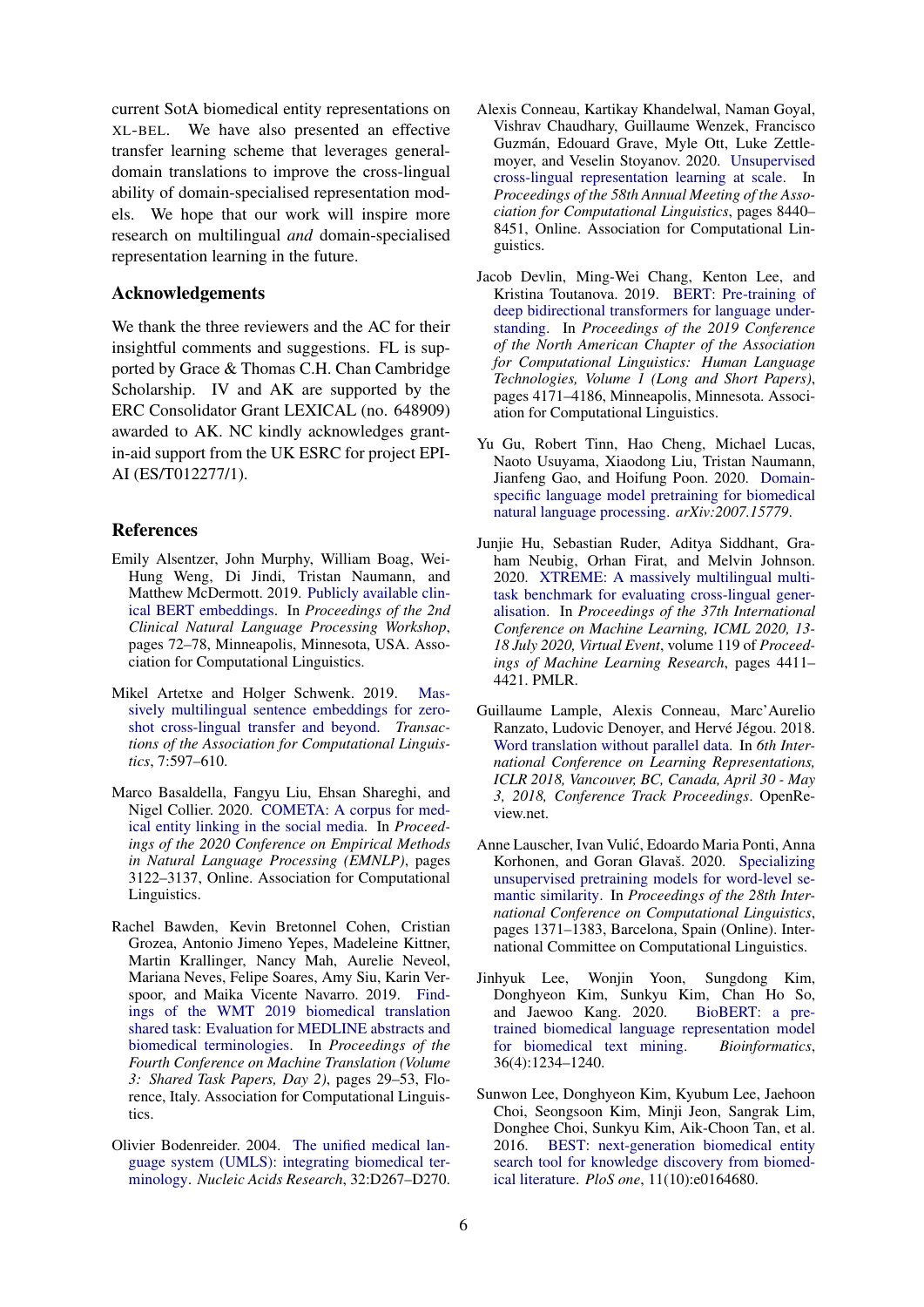current SotA biomedical entity representations on XL-BEL. We have also presented an effective transfer learning scheme that leverages generaldomain translations to improve the cross-lingual ability of domain-specialised representation models. We hope that our work will inspire more research on multilingual *and* domain-specialised representation learning in the future.

#### Acknowledgements

We thank the three reviewers and the AC for their insightful comments and suggestions. FL is supported by Grace & Thomas C.H. Chan Cambridge Scholarship. IV and AK are supported by the ERC Consolidator Grant LEXICAL (no. 648909) awarded to AK. NC kindly acknowledges grantin-aid support from the UK ESRC for project EPI-AI (ES/T012277/1).

#### References

- <span id="page-5-9"></span>Emily Alsentzer, John Murphy, William Boag, Wei-Hung Weng, Di Jindi, Tristan Naumann, and Matthew McDermott. 2019. [Publicly available clin](https://doi.org/10.18653/v1/W19-1909)[ical BERT embeddings.](https://doi.org/10.18653/v1/W19-1909) In *Proceedings of the 2nd Clinical Natural Language Processing Workshop*, pages 72–78, Minneapolis, Minnesota, USA. Association for Computational Linguistics.
- <span id="page-5-3"></span>Mikel Artetxe and Holger Schwenk. 2019. [Mas](https://doi.org/10.1162/tacl_a_00288)[sively multilingual sentence embeddings for zero](https://doi.org/10.1162/tacl_a_00288)[shot cross-lingual transfer and beyond.](https://doi.org/10.1162/tacl_a_00288) *Transactions of the Association for Computational Linguistics*, 7:597–610.
- <span id="page-5-10"></span>Marco Basaldella, Fangyu Liu, Ehsan Shareghi, and Nigel Collier. 2020. [COMETA: A corpus for med](https://doi.org/10.18653/v1/2020.emnlp-main.253)[ical entity linking in the social media.](https://doi.org/10.18653/v1/2020.emnlp-main.253) In *Proceedings of the 2020 Conference on Empirical Methods in Natural Language Processing (EMNLP)*, pages 3122–3137, Online. Association for Computational Linguistics.
- <span id="page-5-12"></span>Rachel Bawden, Kevin Bretonnel Cohen, Cristian Grozea, Antonio Jimeno Yepes, Madeleine Kittner, Martin Krallinger, Nancy Mah, Aurelie Neveol, Mariana Neves, Felipe Soares, Amy Siu, Karin Verspoor, and Maika Vicente Navarro. 2019. [Find](https://doi.org/10.18653/v1/W19-5403)[ings of the WMT 2019 biomedical translation](https://doi.org/10.18653/v1/W19-5403) [shared task: Evaluation for MEDLINE abstracts and](https://doi.org/10.18653/v1/W19-5403) [biomedical terminologies.](https://doi.org/10.18653/v1/W19-5403) In *Proceedings of the Fourth Conference on Machine Translation (Volume 3: Shared Task Papers, Day 2)*, pages 29–53, Florence, Italy. Association for Computational Linguistics.
- <span id="page-5-2"></span>Olivier Bodenreider. 2004. [The unified medical lan](https://www.ncbi.nlm.nih.gov/pmc/articles/PMC308795/pdf/gkh061.pdf)[guage system \(UMLS\): integrating biomedical ter](https://www.ncbi.nlm.nih.gov/pmc/articles/PMC308795/pdf/gkh061.pdf)[minology.](https://www.ncbi.nlm.nih.gov/pmc/articles/PMC308795/pdf/gkh061.pdf) *Nucleic Acids Research*, 32:D267–D270.
- <span id="page-5-5"></span>Alexis Conneau, Kartikay Khandelwal, Naman Goyal, Vishrav Chaudhary, Guillaume Wenzek, Francisco Guzman, Edouard Grave, Myle Ott, Luke Zettle- ´ moyer, and Veselin Stoyanov. 2020. [Unsupervised](https://doi.org/10.18653/v1/2020.acl-main.747) [cross-lingual representation learning at scale.](https://doi.org/10.18653/v1/2020.acl-main.747) In *Proceedings of the 58th Annual Meeting of the Association for Computational Linguistics*, pages 8440– 8451, Online. Association for Computational Linguistics.
- <span id="page-5-0"></span>Jacob Devlin, Ming-Wei Chang, Kenton Lee, and Kristina Toutanova. 2019. [BERT: Pre-training of](https://doi.org/10.18653/v1/N19-1423) [deep bidirectional transformers for language under](https://doi.org/10.18653/v1/N19-1423)[standing.](https://doi.org/10.18653/v1/N19-1423) In *Proceedings of the 2019 Conference of the North American Chapter of the Association for Computational Linguistics: Human Language Technologies, Volume 1 (Long and Short Papers)*, pages 4171–4186, Minneapolis, Minnesota. Association for Computational Linguistics.
- <span id="page-5-8"></span>Yu Gu, Robert Tinn, Hao Cheng, Michael Lucas, Naoto Usuyama, Xiaodong Liu, Tristan Naumann, Jianfeng Gao, and Hoifung Poon. 2020. [Domain](https://arxiv.org/pdf/2007.15779.pdf)[specific language model pretraining for biomedical](https://arxiv.org/pdf/2007.15779.pdf) [natural language processing.](https://arxiv.org/pdf/2007.15779.pdf) *arXiv:2007.15779*.
- <span id="page-5-4"></span>Junjie Hu, Sebastian Ruder, Aditya Siddhant, Graham Neubig, Orhan Firat, and Melvin Johnson. 2020. [XTREME: A massively multilingual multi](http://proceedings.mlr.press/v119/hu20b.html)[task benchmark for evaluating cross-lingual gener](http://proceedings.mlr.press/v119/hu20b.html)[alisation.](http://proceedings.mlr.press/v119/hu20b.html) In *Proceedings of the 37th International Conference on Machine Learning, ICML 2020, 13- 18 July 2020, Virtual Event*, volume 119 of *Proceedings of Machine Learning Research*, pages 4411– 4421. PMLR.
- <span id="page-5-11"></span>Guillaume Lample, Alexis Conneau, Marc'Aurelio Ranzato, Ludovic Denoyer, and Hervé Jégou. 2018. [Word translation without parallel data.](https://openreview.net/forum?id=H196sainb) In *6th International Conference on Learning Representations, ICLR 2018, Vancouver, BC, Canada, April 30 - May 3, 2018, Conference Track Proceedings*. OpenReview.net.
- <span id="page-5-1"></span>Anne Lauscher, Ivan Vulic, Edoardo Maria Ponti, Anna ´ Korhonen, and Goran Glavaš. 2020. [Specializing](https://doi.org/10.18653/v1/2020.coling-main.118) [unsupervised pretraining models for word-level se](https://doi.org/10.18653/v1/2020.coling-main.118)[mantic similarity.](https://doi.org/10.18653/v1/2020.coling-main.118) In *Proceedings of the 28th International Conference on Computational Linguistics*, pages 1371–1383, Barcelona, Spain (Online). International Committee on Computational Linguistics.
- <span id="page-5-7"></span>Jinhyuk Lee, Wonjin Yoon, Sungdong Kim, Donghyeon Kim, Sunkyu Kim, Chan Ho So, and Jaewoo Kang. 2020. [BioBERT: a pre](https://academic.oup.com/bioinformatics/article/36/4/1234/5566506)[trained biomedical language representation model](https://academic.oup.com/bioinformatics/article/36/4/1234/5566506) [for biomedical text mining.](https://academic.oup.com/bioinformatics/article/36/4/1234/5566506) *Bioinformatics*, 36(4):1234–1240.
- <span id="page-5-6"></span>Sunwon Lee, Donghyeon Kim, Kyubum Lee, Jaehoon Choi, Seongsoon Kim, Minji Jeon, Sangrak Lim, Donghee Choi, Sunkyu Kim, Aik-Choon Tan, et al. 2016. [BEST: next-generation biomedical entity](https://journals.plos.org/plosone/article?id=10.1371/journal.pone.0164680) [search tool for knowledge discovery from biomed](https://journals.plos.org/plosone/article?id=10.1371/journal.pone.0164680)[ical literature.](https://journals.plos.org/plosone/article?id=10.1371/journal.pone.0164680) *PloS one*, 11(10):e0164680.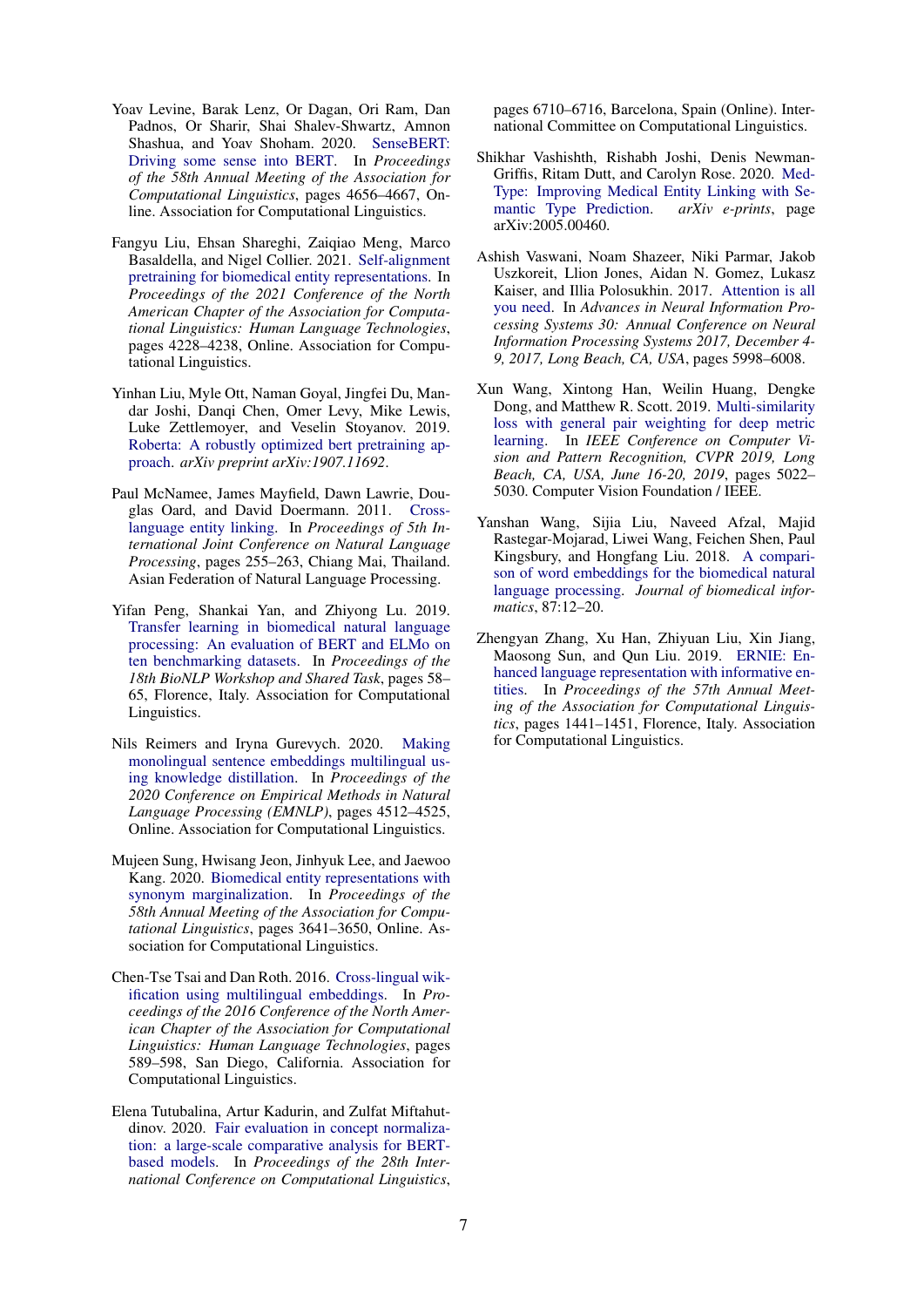- <span id="page-6-2"></span>Yoav Levine, Barak Lenz, Or Dagan, Ori Ram, Dan Padnos, Or Sharir, Shai Shalev-Shwartz, Amnon Shashua, and Yoav Shoham. 2020. [SenseBERT:](https://doi.org/10.18653/v1/2020.acl-main.423) [Driving some sense into BERT.](https://doi.org/10.18653/v1/2020.acl-main.423) In *Proceedings of the 58th Annual Meeting of the Association for Computational Linguistics*, pages 4656–4667, Online. Association for Computational Linguistics.
- <span id="page-6-3"></span>Fangyu Liu, Ehsan Shareghi, Zaiqiao Meng, Marco Basaldella, and Nigel Collier. 2021. [Self-alignment](https://www.aclweb.org/anthology/2021.naacl-main.334) [pretraining for biomedical entity representations.](https://www.aclweb.org/anthology/2021.naacl-main.334) In *Proceedings of the 2021 Conference of the North American Chapter of the Association for Computational Linguistics: Human Language Technologies*, pages 4228–4238, Online. Association for Computational Linguistics.
- <span id="page-6-0"></span>Yinhan Liu, Myle Ott, Naman Goyal, Jingfei Du, Mandar Joshi, Danqi Chen, Omer Levy, Mike Lewis, Luke Zettlemoyer, and Veselin Stoyanov. 2019. [Roberta: A robustly optimized bert pretraining ap](https://arxiv.org/pdf/1907.11692.pdf)[proach.](https://arxiv.org/pdf/1907.11692.pdf) *arXiv preprint arXiv:1907.11692*.
- <span id="page-6-9"></span>Paul McNamee, James Mayfield, Dawn Lawrie, Douglas Oard, and David Doermann. 2011. [Cross](https://www.aclweb.org/anthology/I11-1029)[language entity linking.](https://www.aclweb.org/anthology/I11-1029) In *Proceedings of 5th International Joint Conference on Natural Language Processing*, pages 255–263, Chiang Mai, Thailand. Asian Federation of Natural Language Processing.
- <span id="page-6-6"></span>Yifan Peng, Shankai Yan, and Zhiyong Lu. 2019. [Transfer learning in biomedical natural language](https://doi.org/10.18653/v1/W19-5006) [processing: An evaluation of BERT and ELMo on](https://doi.org/10.18653/v1/W19-5006) [ten benchmarking datasets.](https://doi.org/10.18653/v1/W19-5006) In *Proceedings of the 18th BioNLP Workshop and Shared Task*, pages 58– 65, Florence, Italy. Association for Computational Linguistics.
- <span id="page-6-13"></span>Nils Reimers and Iryna Gurevych. 2020. [Making](https://doi.org/10.18653/v1/2020.emnlp-main.365) [monolingual sentence embeddings multilingual us](https://doi.org/10.18653/v1/2020.emnlp-main.365)[ing knowledge distillation.](https://doi.org/10.18653/v1/2020.emnlp-main.365) In *Proceedings of the 2020 Conference on Empirical Methods in Natural Language Processing (EMNLP)*, pages 4512–4525, Online. Association for Computational Linguistics.
- <span id="page-6-7"></span>Mujeen Sung, Hwisang Jeon, Jinhyuk Lee, and Jaewoo Kang. 2020. [Biomedical entity representations with](https://doi.org/10.18653/v1/2020.acl-main.335) [synonym marginalization.](https://doi.org/10.18653/v1/2020.acl-main.335) In *Proceedings of the 58th Annual Meeting of the Association for Computational Linguistics*, pages 3641–3650, Online. Association for Computational Linguistics.
- <span id="page-6-10"></span>Chen-Tse Tsai and Dan Roth. 2016. [Cross-lingual wik](https://doi.org/10.18653/v1/N16-1072)[ification using multilingual embeddings.](https://doi.org/10.18653/v1/N16-1072) In *Proceedings of the 2016 Conference of the North American Chapter of the Association for Computational Linguistics: Human Language Technologies*, pages 589–598, San Diego, California. Association for Computational Linguistics.
- <span id="page-6-12"></span>Elena Tutubalina, Artur Kadurin, and Zulfat Miftahutdinov. 2020. [Fair evaluation in concept normaliza](https://www.aclweb.org/anthology/2020.coling-main.588)[tion: a large-scale comparative analysis for BERT](https://www.aclweb.org/anthology/2020.coling-main.588)[based models.](https://www.aclweb.org/anthology/2020.coling-main.588) In *Proceedings of the 28th International Conference on Computational Linguistics*,

pages 6710–6716, Barcelona, Spain (Online). International Committee on Computational Linguistics.

- <span id="page-6-11"></span>Shikhar Vashishth, Rishabh Joshi, Denis Newman-Griffis, Ritam Dutt, and Carolyn Rose. 2020. [Med-](http://arxiv.org/abs/2005.00460)[Type: Improving Medical Entity Linking with Se](http://arxiv.org/abs/2005.00460)[mantic Type Prediction.](http://arxiv.org/abs/2005.00460) *arXiv e-prints*, page arXiv:2005.00460.
- <span id="page-6-5"></span>Ashish Vaswani, Noam Shazeer, Niki Parmar, Jakob Uszkoreit, Llion Jones, Aidan N. Gomez, Lukasz Kaiser, and Illia Polosukhin. 2017. [Attention is all](https://proceedings.neurips.cc/paper/2017/hash/3f5ee243547dee91fbd053c1c4a845aa-Abstract.html) [you need.](https://proceedings.neurips.cc/paper/2017/hash/3f5ee243547dee91fbd053c1c4a845aa-Abstract.html) In *Advances in Neural Information Processing Systems 30: Annual Conference on Neural Information Processing Systems 2017, December 4- 9, 2017, Long Beach, CA, USA*, pages 5998–6008.
- <span id="page-6-8"></span>Xun Wang, Xintong Han, Weilin Huang, Dengke Dong, and Matthew R. Scott. 2019. [Multi-similarity](https://doi.org/10.1109/CVPR.2019.00516) [loss with general pair weighting for deep metric](https://doi.org/10.1109/CVPR.2019.00516) [learning.](https://doi.org/10.1109/CVPR.2019.00516) In *IEEE Conference on Computer Vision and Pattern Recognition, CVPR 2019, Long Beach, CA, USA, June 16-20, 2019*, pages 5022– 5030. Computer Vision Foundation / IEEE.
- <span id="page-6-4"></span>Yanshan Wang, Sijia Liu, Naveed Afzal, Majid Rastegar-Mojarad, Liwei Wang, Feichen Shen, Paul Kingsbury, and Hongfang Liu. 2018. [A compari](https://www.sciencedirect.com/science/article/pii/S1532046418301825)[son of word embeddings for the biomedical natural](https://www.sciencedirect.com/science/article/pii/S1532046418301825) [language processing.](https://www.sciencedirect.com/science/article/pii/S1532046418301825) *Journal of biomedical informatics*, 87:12–20.
- <span id="page-6-1"></span>Zhengyan Zhang, Xu Han, Zhiyuan Liu, Xin Jiang, Maosong Sun, and Qun Liu. 2019. [ERNIE: En](https://doi.org/10.18653/v1/P19-1139)[hanced language representation with informative en](https://doi.org/10.18653/v1/P19-1139)[tities.](https://doi.org/10.18653/v1/P19-1139) In *Proceedings of the 57th Annual Meeting of the Association for Computational Linguistics*, pages 1441–1451, Florence, Italy. Association for Computational Linguistics.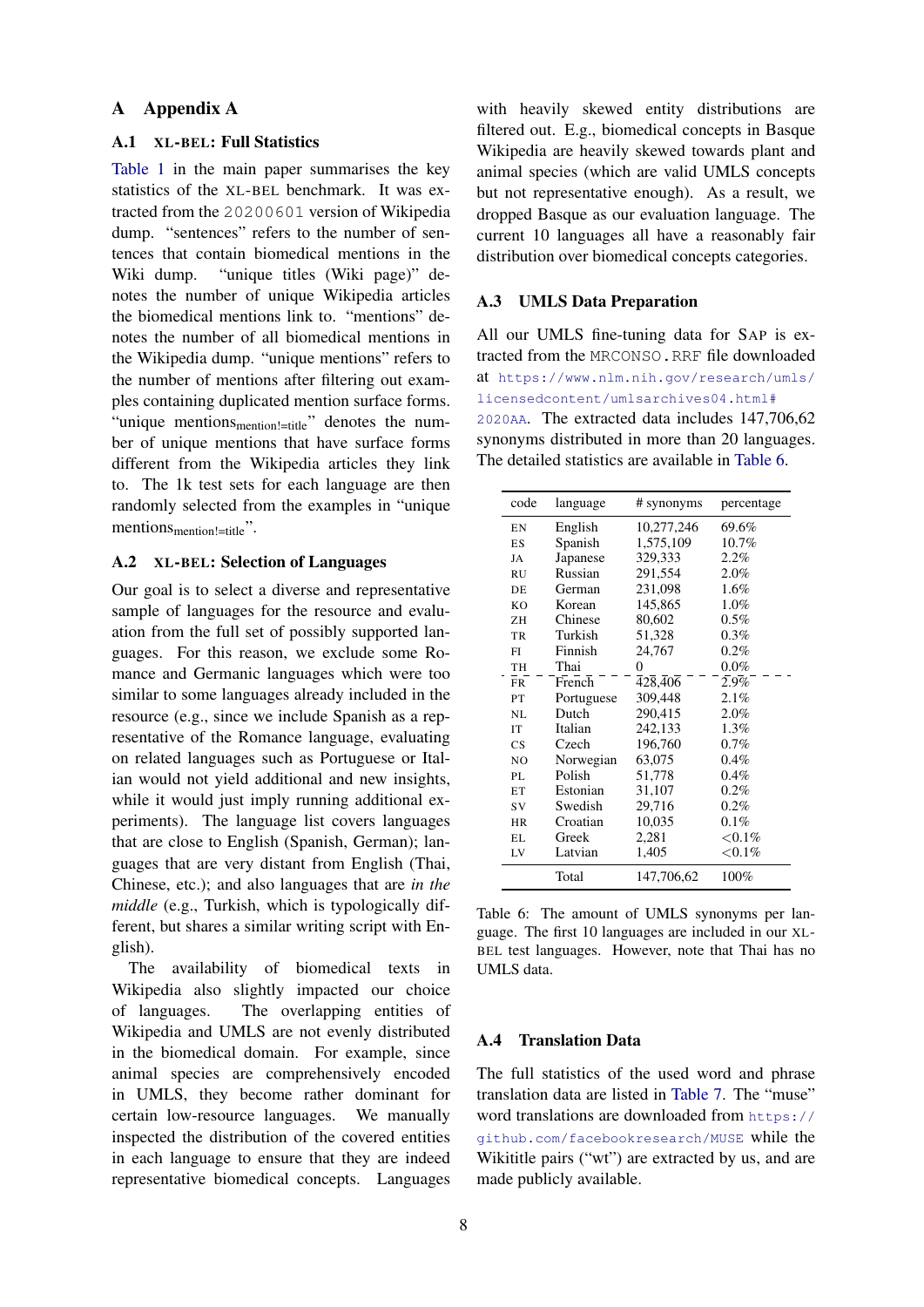# A Appendix A

## <span id="page-7-0"></span>A.1 XL-BEL: Full Statistics

[Table 1](#page-2-5) in the main paper summarises the key statistics of the XL-BEL benchmark. It was extracted from the 20200601 version of Wikipedia dump. "sentences" refers to the number of sentences that contain biomedical mentions in the Wiki dump. "unique titles (Wiki page)" denotes the number of unique Wikipedia articles the biomedical mentions link to. "mentions" denotes the number of all biomedical mentions in the Wikipedia dump. "unique mentions" refers to the number of mentions after filtering out examples containing duplicated mention surface forms. "unique mentions<sub>mention!=title</sub>" denotes the number of unique mentions that have surface forms different from the Wikipedia articles they link to. The 1k test sets for each language are then randomly selected from the examples in "unique mentions<sub>mention</sub> !=title".

## A.2 XL-BEL: Selection of Languages

Our goal is to select a diverse and representative sample of languages for the resource and evaluation from the full set of possibly supported languages. For this reason, we exclude some Romance and Germanic languages which were too similar to some languages already included in the resource (e.g., since we include Spanish as a representative of the Romance language, evaluating on related languages such as Portuguese or Italian would not yield additional and new insights, while it would just imply running additional experiments). The language list covers languages that are close to English (Spanish, German); languages that are very distant from English (Thai, Chinese, etc.); and also languages that are *in the middle* (e.g., Turkish, which is typologically different, but shares a similar writing script with English).

The availability of biomedical texts in Wikipedia also slightly impacted our choice of languages. The overlapping entities of Wikipedia and UMLS are not evenly distributed in the biomedical domain. For example, since animal species are comprehensively encoded in UMLS, they become rather dominant for certain low-resource languages. We manually inspected the distribution of the covered entities in each language to ensure that they are indeed representative biomedical concepts. Languages

with heavily skewed entity distributions are filtered out. E.g., biomedical concepts in Basque Wikipedia are heavily skewed towards plant and animal species (which are valid UMLS concepts but not representative enough). As a result, we dropped Basque as our evaluation language. The current 10 languages all have a reasonably fair distribution over biomedical concepts categories.

# <span id="page-7-2"></span>A.3 UMLS Data Preparation

All our UMLS fine-tuning data for SAP is extracted from the MRCONSO.RRF file downloaded at [https://www.nlm.nih.gov/research/umls/](https://www.nlm.nih.gov/research/umls/licensedcontent/umlsarchives04.html#2020AA) [licensedcontent/umlsarchives04.html#](https://www.nlm.nih.gov/research/umls/licensedcontent/umlsarchives04.html#2020AA) [2020AA](https://www.nlm.nih.gov/research/umls/licensedcontent/umlsarchives04.html#2020AA). The extracted data includes 147,706,62 synonyms distributed in more than 20 languages. The detailed statistics are available in [Table 6.](#page-7-1)

<span id="page-7-1"></span>

| code           | language   | # synonyms | percentage |
|----------------|------------|------------|------------|
| EN             | English    | 10,277,246 | 69.6%      |
| ES             | Spanish    | 1,575,109  | $10.7\%$   |
| JA             | Japanese   | 329,333    | 2.2%       |
| <b>RU</b>      | Russian    | 291,554    | 2.0%       |
| DE.            | German     | 231,098    | 1.6%       |
| K <sub>O</sub> | Korean     | 145,865    | 1.0%       |
| 7H             | Chinese    | 80,602     | $0.5\%$    |
| TR             | Turkish    | 51,328     | $0.3\%$    |
| FI             | Finnish    | 24,767     | 0.2%       |
| TH             | Thai       | $\theta$   | $0.0\%$    |
| <b>FR</b>      | French     | 428,406    | 2.9%       |
| PT             | Portuguese | 309,448    | 2.1%       |
| NL             | Dutch      | 290,415    | $2.0\%$    |
| <b>IT</b>      | Italian    | 242,133    | $1.3\%$    |
| CS             | Czech      | 196,760    | $0.7\%$    |
| N <sub>O</sub> | Norwegian  | 63,075     | 0.4%       |
| PL             | Polish     | 51,778     | 0.4%       |
| ET             | Estonian   | 31,107     | 0.2%       |
| SV             | Swedish    | 29,716     | $0.2\%$    |
| HR             | Croatian   | 10,035     | 0.1%       |
| EL.            | Greek      | 2,281      | ${<}0.1\%$ |
| LV             | Latvian    | 1,405      | ${<}0.1\%$ |
|                | Total      | 147,706,62 | 100%       |

Table 6: The amount of UMLS synonyms per language. The first 10 languages are included in our XL-BEL test languages. However, note that Thai has no UMLS data.

## A.4 Translation Data

The full statistics of the used word and phrase translation data are listed in [Table 7.](#page-8-0) The "muse" word translations are downloaded from [https://](https://github.com/facebookresearch/MUSE) [github.com/facebookresearch/MUSE](https://github.com/facebookresearch/MUSE) while the Wikititle pairs ("wt") are extracted by us, and are made publicly available.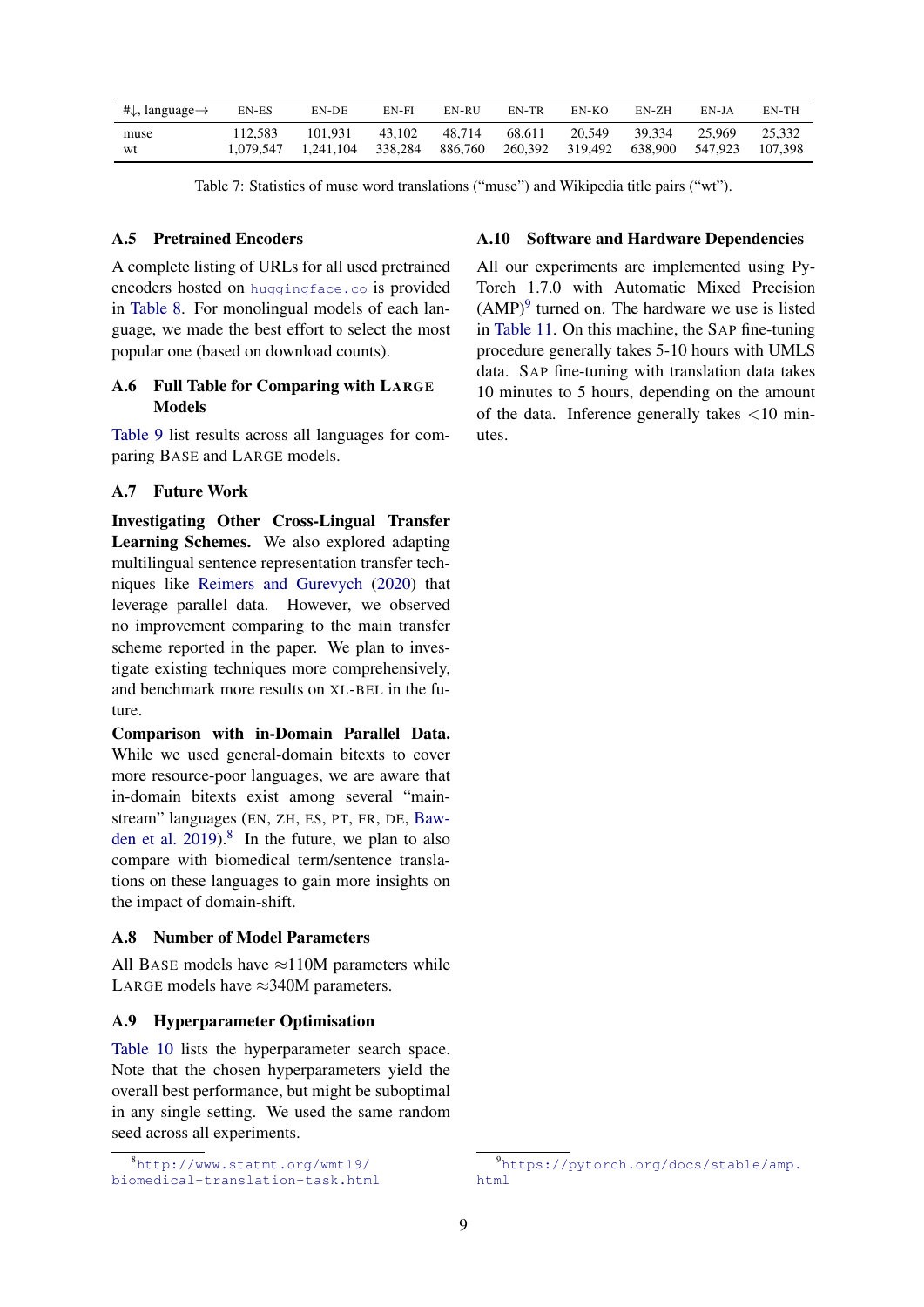<span id="page-8-0"></span>

| # $\downarrow$ , language $\rightarrow$ | EN-ES   | EN-DE                                  | EN-FI  | EN-RU             | EN-TR                                     | EN-KO  | EN-ZH  | EN-IA  | EN-TH             |
|-----------------------------------------|---------|----------------------------------------|--------|-------------------|-------------------------------------------|--------|--------|--------|-------------------|
| muse<br>wt                              | 112.583 | 101.931<br>1,079,547 1,241,104 338,284 | 43.102 | 48.714<br>886.760 | 68.611<br>260,392 319,492 638,900 547,923 | 20.549 | 39.334 | 25.969 | 25.332<br>107.398 |

Table 7: Statistics of muse word translations ("muse") and Wikipedia title pairs ("wt").

#### A.5 Pretrained Encoders

A complete listing of URLs for all used pretrained encoders hosted on <huggingface.co> is provided in [Table 8.](#page-9-1) For monolingual models of each language, we made the best effort to select the most popular one (based on download counts).

# A.6 Full Table for Comparing with LARGE Models

[Table 9](#page-9-0) list results across all languages for comparing BASE and LARGE models.

# A.7 Future Work

Investigating Other Cross-Lingual Transfer Learning Schemes. We also explored adapting multilingual sentence representation transfer techniques like [Reimers and Gurevych](#page-6-13) [\(2020\)](#page-6-13) that leverage parallel data. However, we observed no improvement comparing to the main transfer scheme reported in the paper. We plan to investigate existing techniques more comprehensively, and benchmark more results on XL-BEL in the future.

Comparison with in-Domain Parallel Data. While we used general-domain bitexts to cover more resource-poor languages, we are aware that in-domain bitexts exist among several "mainstream" languages (EN, ZH, ES, PT, FR, DE, [Baw](#page-5-12)[den et al.](#page-5-12)  $2019$ .<sup>[8](#page-8-1)</sup> In the future, we plan to also compare with biomedical term/sentence translations on these languages to gain more insights on the impact of domain-shift.

#### A.8 Number of Model Parameters

All BASE models have  $\approx$ 110M parameters while LARGE models have  $\approx$ 340M parameters.

# A.9 Hyperparameter Optimisation

[Table 10](#page-9-2) lists the hyperparameter search space. Note that the chosen hyperparameters yield the overall best performance, but might be suboptimal in any single setting. We used the same random seed across all experiments.

# A.10 Software and Hardware Dependencies

All our experiments are implemented using Py-Torch 1.7.0 with Automatic Mixed Precision  $(AMP)^9$  $(AMP)^9$  turned on. The hardware we use is listed in [Table 11.](#page-9-3) On this machine, the SAP fine-tuning procedure generally takes 5-10 hours with UMLS data. SAP fine-tuning with translation data takes 10 minutes to 5 hours, depending on the amount of the data. Inference generally takes <10 minutes.

<span id="page-8-1"></span><sup>8</sup>[http://www.statmt.org/wmt19/](http://www.statmt.org/wmt19/biomedical-translation-task.html) [biomedical-translation-task.html](http://www.statmt.org/wmt19/biomedical-translation-task.html)

<span id="page-8-2"></span><sup>9</sup>[https://pytorch.org/docs/stable/amp.](https://pytorch.org/docs/stable/amp.html) [html](https://pytorch.org/docs/stable/amp.html)